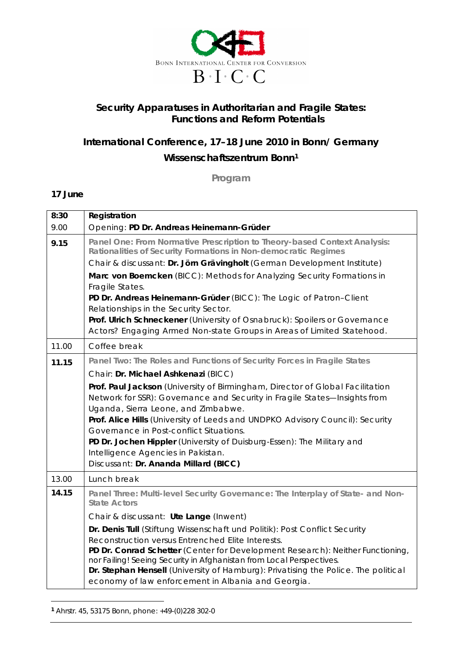

## **Security Apparatuses in Authoritarian and Fragile States: Functions and Reform Potentials**

## **International Conference, 17–18 June 2010 in Bonn/ Germany Wissenschaftszentrum Bonn<sup>1</sup>**

**Program**

## **17 June**

| 8:30  | Registration                                                                                                                                                                                                                                                                                                                                                                                                                                                                                                                                                                                             |
|-------|----------------------------------------------------------------------------------------------------------------------------------------------------------------------------------------------------------------------------------------------------------------------------------------------------------------------------------------------------------------------------------------------------------------------------------------------------------------------------------------------------------------------------------------------------------------------------------------------------------|
| 9.00  | Opening: PD Dr. Andreas Heinemann-Grüder                                                                                                                                                                                                                                                                                                                                                                                                                                                                                                                                                                 |
| 9.15  | Panel One: From Normative Prescription to Theory-based Context Analysis:<br>Rationalities of Security Formations in Non-democratic Regimes<br>Chair & discussant: Dr. Jörn Grävingholt (German Development Institute)<br>Marc von Boemcken (BICC): Methods for Analyzing Security Formations in<br>Fragile States.<br>PD Dr. Andreas Heinemann-Grüder (BICC): The Logic of Patron-Client<br>Relationships in the Security Sector.<br>Prof. Ulrich Schneckener (University of Osnabruck): Spoilers or Governance<br>Actors? Engaging Armed Non-state Groups in Areas of Limited Statehood.                |
| 11.00 | Coffee break                                                                                                                                                                                                                                                                                                                                                                                                                                                                                                                                                                                             |
| 11.15 | Panel Two: The Roles and Functions of Security Forces in Fragile States<br>Chair: Dr. Michael Ashkenazi (BICC)<br>Prof. Paul Jackson (University of Birmingham, Director of Global Facilitation<br>Network for SSR): Governance and Security in Fragile States-Insights from<br>Uganda, Sierra Leone, and Zimbabwe.<br>Prof. Alice Hills (University of Leeds and UNDPKO Advisory Council): Security<br>Governance in Post-conflict Situations.<br>PD Dr. Jochen Hippler (University of Duisburg-Essen): The Military and<br>Intelligence Agencies in Pakistan.<br>Discussant: Dr. Ananda Millard (BICC) |
| 13.00 | Lunch break                                                                                                                                                                                                                                                                                                                                                                                                                                                                                                                                                                                              |
| 14.15 | Panel Three: Multi-level Security Governance: The Interplay of State- and Non-<br><b>State Actors</b><br>Chair & discussant: Ute Lange (Inwent)<br>Dr. Denis Tull (Stiftung Wissenschaft und Politik): Post Conflict Security<br>Reconstruction versus Entrenched Elite Interests.<br>PD Dr. Conrad Schetter (Center for Development Research): Neither Functioning,<br>nor Failing! Seeing Security in Afghanistan from Local Perspectives.<br>Dr. Stephan Hensell (University of Hamburg): Privatising the Police. The political<br>economy of law enforcement in Albania and Georgia.                 |

**<sup>1</sup>** Ahrstr. 45, 53175 Bonn, phone: +49-(0)228 302-0